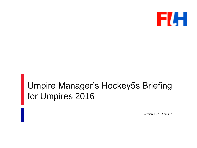

#### Umpire Manager's Hockey5s Briefing for Umpires 2016

Version 1 – 19 April 2016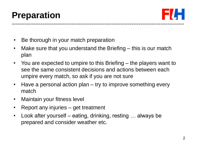

- Be thorough in your match preparation
- Make sure that you understand the Briefing this is our match plan
- You are expected to umpire to this Briefing the players want to see the same consistent decisions and actions between each umpire every match, so ask if you are not sure
- Have a personal action plan try to improve something every match
- Maintain your fitness level
- Report any injuries get treatment
- Look after yourself eating, drinking, resting ... always be prepared and consider weather etc.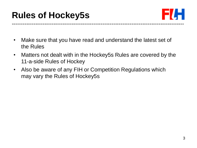## **Rules of Hockey5s**



- Make sure that you have read and understand the latest set of the Rules
- Matters not dealt with in the Hockey5s Rules are covered by the 11-a-side Rules of Hockey
- Also be aware of any FIH or Competition Regulations which may vary the Rules of Hockey5s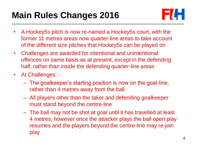# **Main Rules Changes 2016**



- A Hockey5s pitch is now re-named a Hockey5s court, with the former 11 metres areas now quarter-line areas to take account of the different size pitches that Hockey5s can be played on
- Challenges are awarded for intentional and unintentional offences on same basis as at present, except in the defending half, rather than inside the defending quarter-line areas
- At Challenges:
	- The goalkeeper's starting position is now on the goal-line, rather than 4 metres away from the ball
	- All players other than the taker and defending goalkeeper must stand beyond the centre-line
	- The ball may not be shot at goal until it has travelled at least 4 metres; however once the attacker plays the ball open play resumes and the players beyond the centre-line may re-join play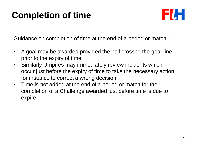

Guidance on completion of time at the end of a period or match: -

- A goal may be awarded provided the ball crossed the goal-line prior to the expiry of time
- Similarly Umpires may immediately review incidents which occur just before the expiry of time to take the necessary action, for instance to correct a wrong decision
- Time is not added at the end of a period or match for the completion of a Challenge awarded just before time is due to expire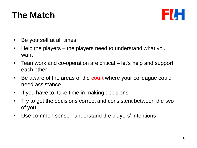## **The Match**



- Be yourself at all times
- Help the players the players need to understand what you want
- Teamwork and co-operation are critical let's help and support each other
- Be aware of the areas of the court where your colleague could need assistance
- If you have to, take time in making decisions
- Try to get the decisions correct and consistent between the two of you
- Use common sense understand the players' intentions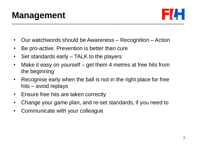### **Management**



- Our watchwords should be Awareness Recognition Action
- Be pro-active. Prevention is better than cure
- Set standards early TALK to the players
- Make it easy on yourself get them 4 metres at free hits from the beginning
- Recognise early when the ball is not in the right place for free hits – avoid replays
- Ensure free hits are taken correctly
- Change your game plan, and re-set standards, if you need to
- Communicate with your colleague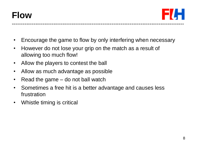

- Encourage the game to flow by only interfering when necessary
- However do not lose your grip on the match as a result of allowing too much flow!
- Allow the players to contest the ball
- Allow as much advantage as possible
- Read the game do not ball watch
- Sometimes a free hit is a better advantage and causes less frustration
- Whistle timing is critical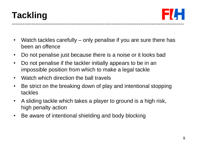



- Watch tackles carefully only penalise if you are sure there has been an offence
- Do not penalise just because there is a noise or it looks bad
- Do not penalise if the tackler initially appears to be in an impossible position from which to make a legal tackle
- Watch which direction the ball travels
- Be strict on the breaking down of play and intentional stopping tackles
- A sliding tackle which takes a player to ground is a high risk, high penalty action
- Be aware of intentional shielding and body blocking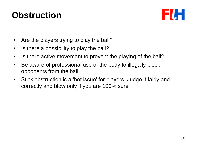

- Are the players trying to play the ball?
- Is there a possibility to play the ball?
- Is there active movement to prevent the playing of the ball?
- Be aware of professional use of the body to illegally block opponents from the ball
- Stick obstruction is a 'hot issue' for players. Judge it fairly and correctly and blow only if you are 100% sure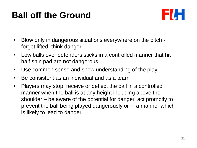## **Ball off the Ground**



- Blow only in dangerous situations everywhere on the pitch forget lifted, think danger
- Low balls over defenders sticks in a controlled manner that hit half shin pad are not dangerous
- Use common sense and show understanding of the play
- Be consistent as an individual and as a team
- Players may stop, receive or deflect the ball in a controlled manner when the ball is at any height including above the shoulder – be aware of the potential for danger, act promptly to prevent the ball being played dangerously or in a manner which is likely to lead to danger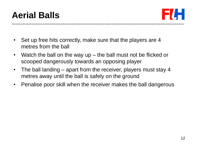



- Set up free hits correctly, make sure that the players are 4 metres from the ball
- Watch the ball on the way up the ball must not be flicked or scooped dangerously towards an opposing player
- The ball landing apart from the receiver, players must stay 4 metres away until the ball is safely on the ground
- Penalise poor skill when the receiver makes the ball dangerous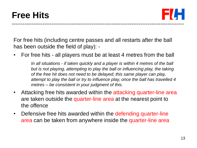#### **Free Hits**



For free hits (including centre passes and all restarts after the ball has been outside the field of play): -

• For free hits - all players must be at least 4 metres from the ball

*In all situations - if taken quickly and a player is within 4 metres of the ball but is not playing, attempting to play the ball or influencing play, the taking of the free hit does not need to be delayed; this same player can play, attempt to play the ball or try to influence play, once the ball has travelled 4 metres – be consistent in your judgment of this.* 

- Attacking free hits awarded within the attacking quarter-line area are taken outside the quarter-line area at the nearest point to the offence
- Defensive free hits awarded within the defending quarter-line area can be taken from anywhere inside the quarter-line area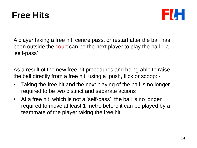#### **Free Hits**



A player taking a free hit, centre pass, or restart after the ball has been outside the court can be the next player to play the ball – a 'self-pass'

As a result of the new free hit procedures and being able to raise the ball directly from a free hit, using a push, flick or scoop: -

- Taking the free hit and the next playing of the ball is no longer required to be two distinct and separate actions
- At a free hit, which is not a 'self-pass', the ball is no longer required to move at least 1 metre before it can be played by a teammate of the player taking the free hit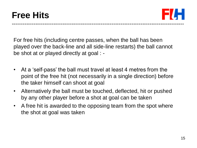#### **Free Hits**



For free hits (including centre passes, when the ball has been played over the back-line and all side-line restarts) the ball cannot be shot at or played directly at goal : -

- At a 'self-pass' the ball must travel at least 4 metres from the point of the free hit (not necessarily in a single direction) before the taker himself can shoot at goal
- Alternatively the ball must be touched, deflected, hit or pushed by any other player before a shot at goal can be taken
- A free hit is awarded to the opposing team from the spot where the shot at goal was taken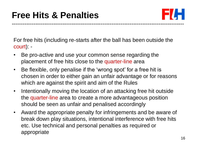

For free hits (including re-starts after the ball has been outside the court): -

- Be pro-active and use your common sense regarding the placement of free hits close to the quarter-line area
- Be flexible, only penalise if the 'wrong spot' for a free hit is chosen in order to either gain an unfair advantage or for reasons which are against the spirit and aim of the Rules
- Intentionally moving the location of an attacking free hit outside the quarter-line area to create a more advantageous position should be seen as unfair and penalised accordingly
- Award the appropriate penalty for infringements and be aware of break down play situations, intentional interference with free hits etc. Use technical and personal penalties as required or appropriate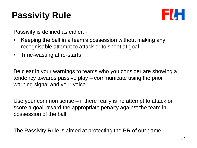## **Passivity Rule**



Passivity is defined as either: -

- Keeping the ball in a team's possession without making any recognisable attempt to attack or to shoot at goal
- Time-wasting at re-starts

Be clear in your warnings to teams who you consider are showing a tendency towards passive play – communicate using the prior warning signal and your voice

Use your common sense – if there really is no attempt to attack or score a goal, award the appropriate penalty against the team in possession of the ball

The Passivity Rule is aimed at protecting the PR of our game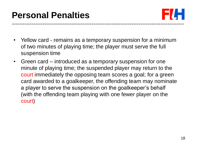

- Yellow card remains as a temporary suspension for a minimum of two minutes of playing time; the player must serve the full suspension time
- Green card introduced as a temporary suspension for one minute of playing time; the suspended player may return to the court immediately the opposing team scores a goal; for a green card awarded to a goalkeeper, the offending team may nominate a player to serve the suspension on the goalkeeper's behalf (with the offending team playing with one fewer player on the court)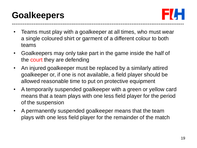## **Goalkeepers**

-----------------------------------------------------------------------------------------------

- Teams must play with a goalkeeper at all times, who must wear a single coloured shirt or garment of a different colour to both teams
- Goalkeepers may only take part in the game inside the half of the court they are defending
- An injured goalkeeper must be replaced by a similarly attired goalkeeper or, if one is not available, a field player should be allowed reasonable time to put on protective equipment
- A temporarily suspended goalkeeper with a green or yellow card means that a team plays with one less field player for the period of the suspension
- A permanently suspended goalkeeper means that the team plays with one less field player for the remainder of the match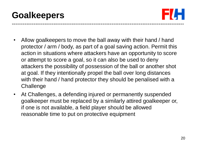### **Goalkeepers**



- Allow goalkeepers to move the ball away with their hand / hand protector / arm / body, as part of a goal saving action. Permit this action in situations where attackers have an opportunity to score or attempt to score a goal, so it can also be used to deny attackers the possibility of possession of the ball or another shot at goal. If they intentionally propel the ball over long distances with their hand / hand protector they should be penalised with a **Challenge**
- At Challenges, a defending injured or permanently suspended goalkeeper must be replaced by a similarly attired goalkeeper or, if one is not available, a field player should be allowed reasonable time to put on protective equipment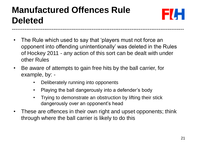# **Manufactured Offences Rule Deleted**



• The Rule which used to say that 'players must not force an opponent into offending unintentionally' was deleted in the Rules of Hockey 2011 - any action of this sort can be dealt with under other Rules

-----------------------------------------------------------------------------------------------

- Be aware of attempts to gain free hits by the ball carrier, for example, by: -
	- Deliberately running into opponents
	- Playing the ball dangerously into a defender's body
	- Trying to demonstrate an obstruction by lifting their stick dangerously over an opponent's head
- These are offences in their own right and upset opponents; think through where the ball carrier is likely to do this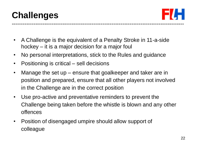## **Challenges**



- A Challenge is the equivalent of a Penalty Stroke in 11-a-side hockey – it is a major decision for a major foul
- No personal interpretations, stick to the Rules and guidance
- Positioning is critical sell decisions
- Manage the set up ensure that goalkeeper and taker are in position and prepared, ensure that all other players not involved in the Challenge are in the correct position
- Use pro-active and preventative reminders to prevent the Challenge being taken before the whistle is blown and any other offences
- Position of disengaged umpire should allow support of colleague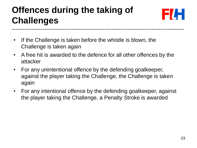#### **Offences during the taking of Challenges** -----------------------------------------------------------------------------------------------



- If the Challenge is taken before the whistle is blown, the Challenge is taken again
- A free hit is awarded to the defence for all other offences by the attacker
- For any unintentional offence by the defending goalkeeper, against the player taking the Challenge, the Challenge is taken again
- For any intentional offence by the defending goalkeeper, against the player taking the Challenge, a Penalty Stroke is awarded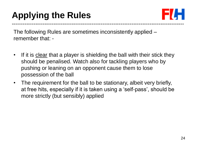

The following Rules are sometimes inconsistently applied – remember that: -

- If it is clear that a player is shielding the ball with their stick they should be penalised. Watch also for tackling players who by pushing or leaning on an opponent cause them to lose possession of the ball
- The requirement for the ball to be stationary, albeit very briefly, at free hits, especially if it is taken using a 'self-pass', should be more strictly (but sensibly) applied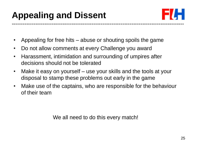

- Appealing for free hits abuse or shouting spoils the game
- Do not allow comments at every Challenge you award
- Harassment, intimidation and surrounding of umpires after decisions should not be tolerated
- Make it easy on yourself use your skills and the tools at your disposal to stamp these problems out early in the game
- Make use of the captains, who are responsible for the behaviour of their team

We all need to do this every match!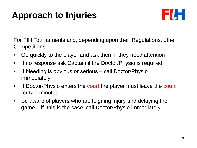

For FIH Tournaments and, depending upon their Regulations, other Competitions: -

- Go quickly to the player and ask them if they need attention
- If no response ask Captain if the Doctor/Physio is required
- If bleeding is obvious or serious call Doctor/Physio immediately
- If Doctor/Physio enters the court the player must leave the court for two minutes
- Be aware of players who are feigning injury and delaying the game – if this is the case, call Doctor/Physio immediately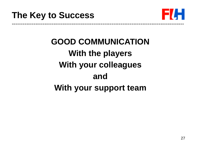

# **GOOD COMMUNICATION With the players With your colleagues and With your support team**